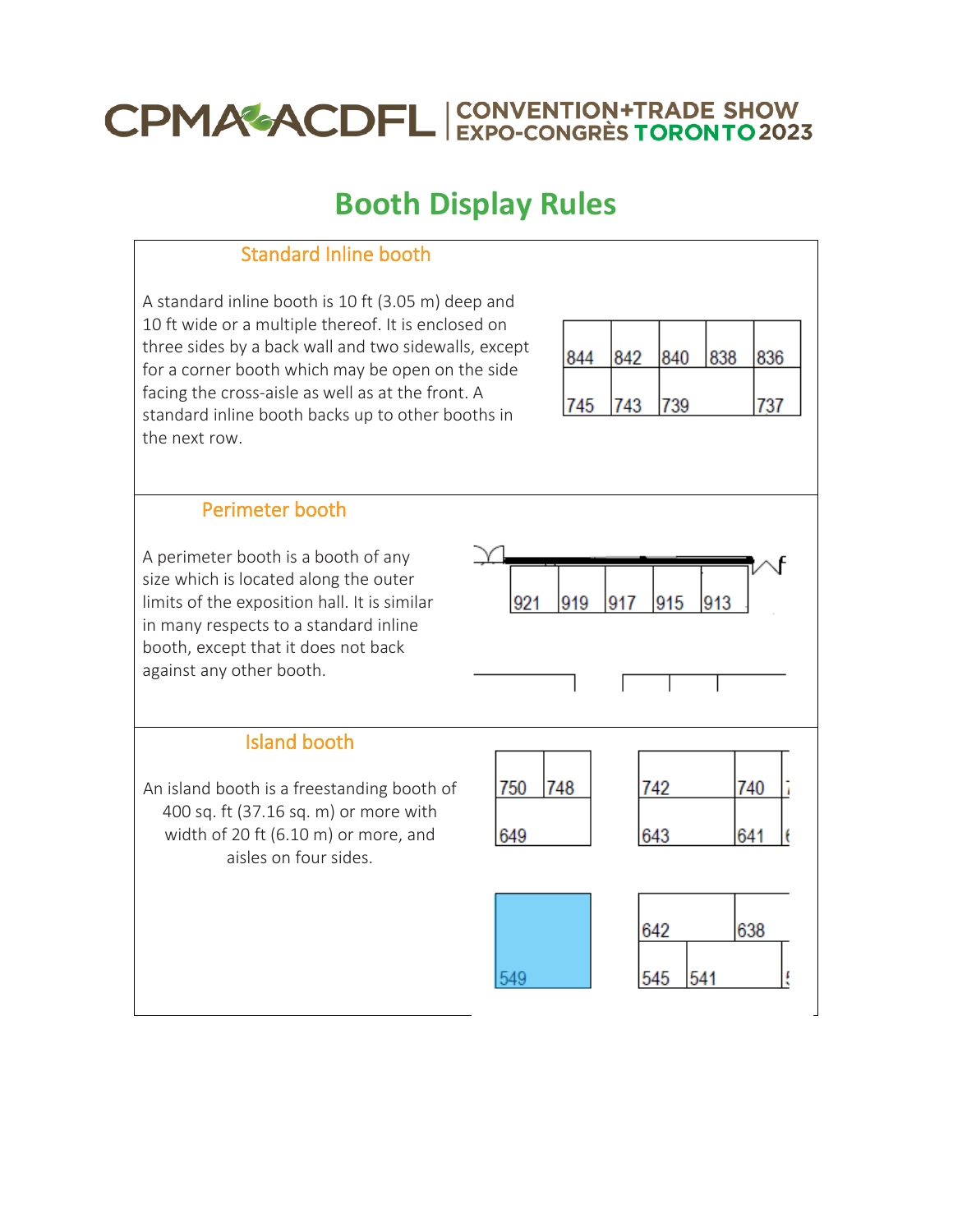# **CPMAGACDFL** EXPO-CONGRESTORONTO 2023

# **Booth Display Rules**

# Standard Inline booth

A standard inline booth is 10 ft (3.05 m) deep and 10 ft wide or a multiple thereof. It is enclosed on three sides by a back wall and two sidewalls, except for a corner booth which may be open on the side facing the cross-aisle as well as at the front. A standard inline booth backs up to other booths in the next row.

| 842 |     |            | 836 |
|-----|-----|------------|-----|
|     |     |            |     |
|     |     |            |     |
|     | 743 | 840<br>′39 | 838 |

# Perimeter booth

A perimeter booth is a booth of any size which is located along the outer limits of the exposition hall. It is similar in many respects to a standard inline booth, except that it does not back against any other booth.

Island booth

An island booth is a freestanding booth of 400 sq. ft (37.16 sq. m) or more with width of 20 ft (6.10 m) or more, and aisles on four sides.



549

921

919

917

915

| 742 | 740 |  |
|-----|-----|--|
| 643 | 641 |  |
|     |     |  |
|     |     |  |

913

| 642 | 38 |  |
|-----|----|--|
|     |    |  |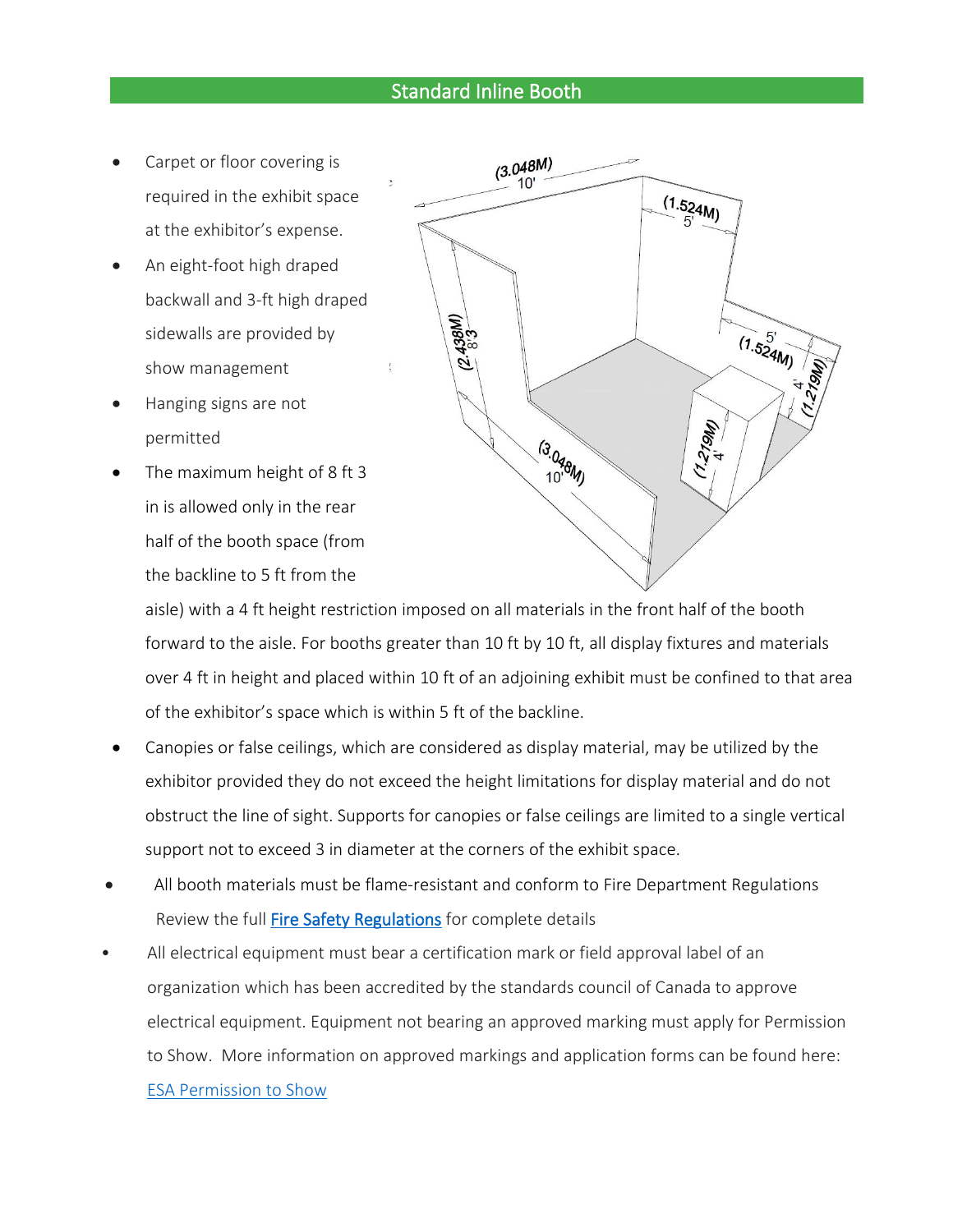## Standard Inline Booth

- Carpet or floor covering is required in the exhibit space at the exhibitor's expense.
- An eight-foot high draped backwall and 3-ft high draped sidewalls are provided by show management
- Hanging signs are not permitted
- The maximum height of 8 ft 3 in is allowed only in the rear half of the booth space (from the backline to 5 ft from the



aisle) with a 4 ft height restriction imposed on all materials in the front half of the booth forward to the aisle. For booths greater than 10 ft by 10 ft, all display fixtures and materials over 4 ft in height and placed within 10 ft of an adjoining exhibit must be confined to that area of the exhibitor's space which is within 5 ft of the backline.

- Canopies or false ceilings, which are considered as display material, may be utilized by the exhibitor provided they do not exceed the height limitations for display material and do not obstruct the line of sight. Supports for canopies or false ceilings are limited to a single vertical support not to exceed 3 in diameter at the corners of the exhibit space.
- All booth materials must be flame-resistant and conform to Fire Department Regulations Review the full [Fire Safety Regulations](https://www.mtccc.com/wp-content/uploads/2016/10/05_Fire_Regulations_for_Exhibitors_22-23-aoda.pdf) for complete details
- All electrical equipment must bear a certification mark or field approval label of an organization which has been accredited by the standards council of Canada to approve electrical equipment. Equipment not bearing an approved marking must apply for Permission to Show. More information on approved markings and application forms can be found here: [ESA Permission to Show](https://www.mtccc.com/wp-content/uploads/2016/10/17_Permission_to_Show-21-22.pdf)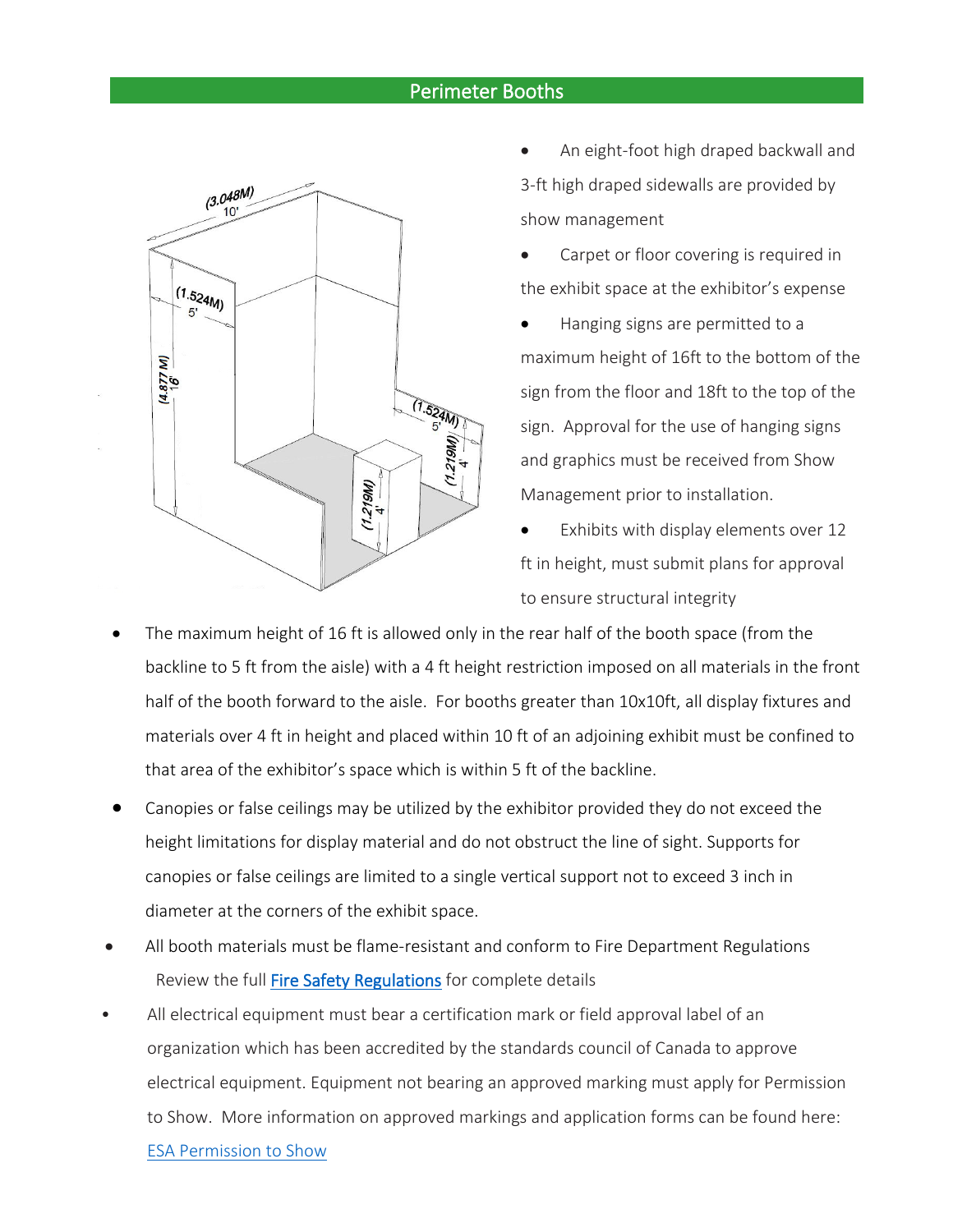#### Perimeter Booths



- An eight-foot high draped backwall and 3-ft high draped sidewalls are provided by show management
- Carpet or floor covering is required in the exhibit space at the exhibitor's expense
- Hanging signs are permitted to a maximum height of 16ft to the bottom of the sign from the floor and 18ft to the top of the sign. Approval for the use of hanging signs and graphics must be received from Show Management prior to installation.
- Exhibits with display elements over 12 ft in height, must submit plans for approval to ensure structural integrity
- The maximum height of 16 ft is allowed only in the rear half of the booth space (from the backline to 5 ft from the aisle) with a 4 ft height restriction imposed on all materials in the front half of the booth forward to the aisle. For booths greater than 10x10ft, all display fixtures and materials over 4 ft in height and placed within 10 ft of an adjoining exhibit must be confined to that area of the exhibitor's space which is within 5 ft of the backline.
- Canopies or false ceilings may be utilized by the exhibitor provided they do not exceed the height limitations for display material and do not obstruct the line of sight. Supports for canopies or false ceilings are limited to a single vertical support not to exceed 3 inch in diameter at the corners of the exhibit space.
- All booth materials must be flame-resistant and conform to Fire Department Regulations Review the full [Fire Safety Regulations](https://www.mtccc.com/wp-content/uploads/2016/10/05_Fire_Regulations_for_Exhibitors_22-23-aoda.pdf) for complete details
- All electrical equipment must bear a certification mark or field approval label of an organization which has been accredited by the standards council of Canada to approve electrical equipment. Equipment not bearing an approved marking must apply for Permission to Show. More information on approved markings and application forms can be found here:

[ESA Permission to Show](https://www.mtccc.com/wp-content/uploads/2016/10/17_Permission_to_Show-21-22.pdf)